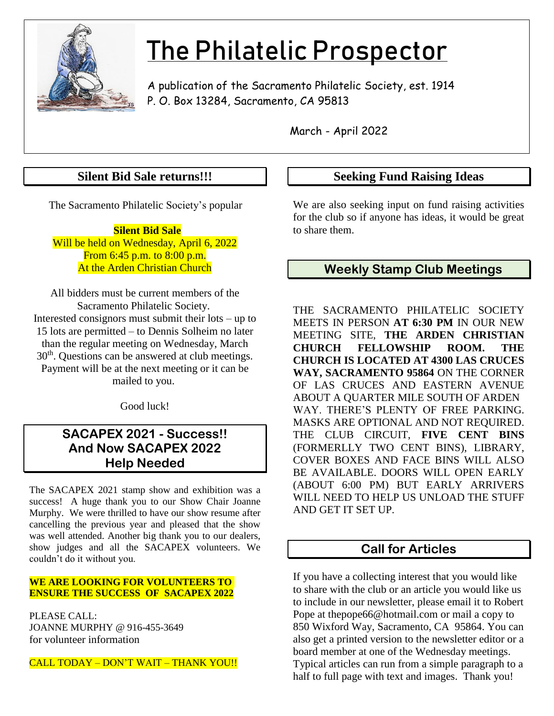

# The Philatelic Prospector

A publication of the Sacramento Philatelic Society, est. 1914 P. O. Box 13284, Sacramento, CA 95813

March - April 2022

## **Silent Bid Sale returns!!!**

The Sacramento Philatelic Society's popular

 **Silent Bid Sale** Will be held on Wednesday, April 6, 2022 From 6:45 p.m. to 8:00 p.m. At the Arden Christian Church

All bidders must be current members of the Sacramento Philatelic Society. Interested consignors must submit their lots – up to 15 lots are permitted – to Dennis Solheim no later than the regular meeting on Wednesday, March  $30<sup>th</sup>$ . Questions can be answered at club meetings. Payment will be at the next meeting or it can be mailed to you.

Good luck!

## **SACAPEX 2021 - Success!! And Now SACAPEX 2022 Help Needed**

The SACAPEX 2021 stamp show and exhibition was a success! A huge thank you to our Show Chair Joanne Murphy. We were thrilled to have our show resume after cancelling the previous year and pleased that the show was well attended. Another big thank you to our dealers, show judges and all the SACAPEX volunteers. We couldn't do it without you.

#### **WE ARE LOOKING FOR VOLUNTEERS TO ENSURE THE SUCCESS OF SACAPEX 2022**

PLEASE CALL: JOANNE MURPHY @ 916-455-3649 for volunteer information

CALL TODAY – DON'T WAIT – THANK YOU!!

#### **Seeking Fund Raising Ideas**

We are also seeking input on fund raising activities for the club so if anyone has ideas, it would be great to share them.

## **Weekly Stamp Club Meetings**

THE SACRAMENTO PHILATELIC SOCIETY MEETS IN PERSON **AT 6:30 PM** IN OUR NEW MEETING SITE, **THE ARDEN CHRISTIAN CHURCH FELLOWSHIP ROOM. THE CHURCH IS LOCATED AT 4300 LAS CRUCES WAY, SACRAMENTO 95864** ON THE CORNER OF LAS CRUCES AND EASTERN AVENUE ABOUT A QUARTER MILE SOUTH OF ARDEN WAY. THERE'S PLENTY OF FREE PARKING. MASKS ARE OPTIONAL AND NOT REQUIRED. THE CLUB CIRCUIT, **FIVE CENT BINS** (FORMERLLY TWO CENT BINS), LIBRARY, COVER BOXES AND FACE BINS WILL ALSO BE AVAILABLE. DOORS WILL OPEN EARLY (ABOUT 6:00 PM) BUT EARLY ARRIVERS WILL NEED TO HELP US UNLOAD THE STUFF AND GET IT SET UP.

## **Call for Articles**

If you have a collecting interest that you would like to share with the club or an article you would like us to include in our newsletter, please email it to Robert Pope at [thepope66@hotmail.com](mailto:thepope66@hotmail.com) or mail a copy to 850 Wixford Way, Sacramento, CA 95864. You can also get a printed version to the newsletter editor or a board member at one of the Wednesday meetings. Typical articles can run from a simple paragraph to a half to full page with text and images. Thank you!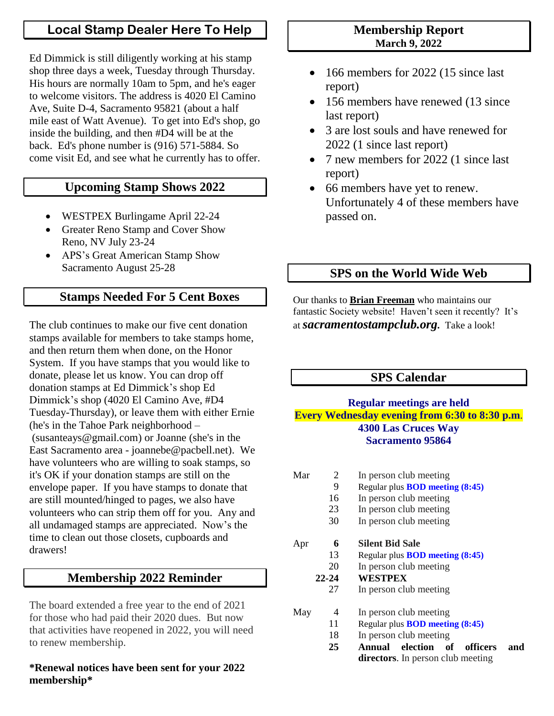## **Local Stamp Dealer Here To Help**

Ed Dimmick is still diligently working at his stamp shop three days a week, Tuesday through Thursday. His hours are normally 10am to 5pm, and he's eager to welcome visitors. The address is 4020 El Camino Ave, Suite D-4, Sacramento 95821 (about a half mile east of Watt Avenue). To get into Ed's shop, go inside the building, and then #D4 will be at the back. Ed's phone number is (916) 571-5884. So come visit Ed, and see what he currently has to offer.

## **Upcoming Stamp Shows 2022**

- WESTPEX Burlingame April 22-24
- Greater Reno Stamp and Cover Show Reno, NV July 23-24
- APS's Great American Stamp Show Sacramento August 25-28

## **Stamps Needed For 5 Cent Boxes**

The club continues to make our five cent donation stamps available for members to take stamps home, and then return them when done, on the Honor System. If you have stamps that you would like to donate, please let us know. You can drop off donation stamps at Ed Dimmick's shop Ed Dimmick's shop (4020 El Camino Ave, #D4 Tuesday-Thursday), or leave them with either Ernie (he's in the Tahoe Park neighborhood – (susanteays@gmail.com) or Joanne (she's in the East Sacramento area - joannebe@pacbell.net). We have volunteers who are willing to soak stamps, so it's OK if your donation stamps are still on the envelope paper. If you have stamps to donate that are still mounted/hinged to pages, we also have volunteers who can strip them off for you. Any and all undamaged stamps are appreciated. Now's the time to clean out those closets, cupboards and drawers!

#### **Membership 2022 Reminder**

The board extended a free year to the end of 2021 for those who had paid their 2020 dues. But now that activities have reopened in 2022, you will need to renew membership.

#### **\*Renewal notices have been sent for your 2022 membership\***

#### **Membership Report March 9, 2022**

- 166 members for 2022 (15 since last report)
- 156 members have renewed (13 since) last report)
- 3 are lost souls and have renewed for 2022 (1 since last report)
- 7 new members for 2022 (1 since last report)
- 66 members have yet to renew. Unfortunately 4 of these members have passed on.

## **SPS on the World Wide Web**

Our thanks to **Brian Freeman** who maintains our fantastic Society website! Haven't seen it recently? It's at *sacramentostampclub.org.* Take a look!

## **SPS Calendar**

#### **Regular meetings are held Every Wednesday evening from 6:30 to 8:30 p.m**. **4300 Las Cruces Way Sacramento 95864**

| Mar | 2         | In person club meeting                      |  |  |
|-----|-----------|---------------------------------------------|--|--|
|     | 9         | Regular plus <b>BOD</b> meeting (8:45)      |  |  |
|     | 16        | In person club meeting                      |  |  |
|     | 23        | In person club meeting                      |  |  |
|     | 30        | In person club meeting                      |  |  |
| Apr | 6         | <b>Silent Bid Sale</b>                      |  |  |
|     | 13        | Regular plus <b>BOD</b> meeting (8:45)      |  |  |
|     | 20        | In person club meeting                      |  |  |
|     | $22 - 24$ | <b>WESTPEX</b>                              |  |  |
|     | 27        | In person club meeting                      |  |  |
| May | 4         | In person club meeting                      |  |  |
|     | 11        | Regular plus <b>BOD</b> meeting (8:45)      |  |  |
|     | 18        | In person club meeting                      |  |  |
|     | 25        | of<br>officers<br>election<br>Annual<br>and |  |  |

**directors**. In person club meeting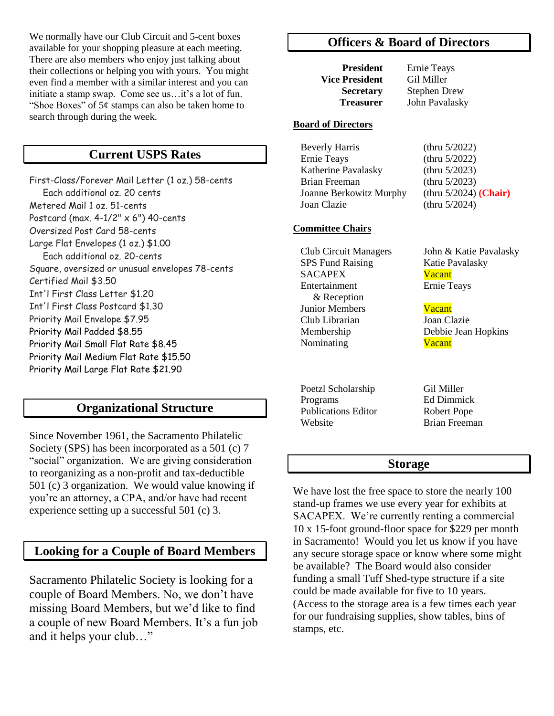We normally have our Club Circuit and 5-cent boxes available for your shopping pleasure at each meeting. There are also members who enjoy just talking about their collections or helping you with yours. You might even find a member with a similar interest and you can initiate a stamp swap. Come see us…it's a lot of fun. "Shoe Boxes" of  $5¢$  stamps can also be taken home to search through during the week.

#### **Current USPS Rates**

First-Class/Forever Mail Letter (1 oz.) 58-cents Each additional oz. 20 cents Metered Mail 1 oz. 51-cents Postcard (max.  $4-1/2$ "  $\times$  6") 40-cents Oversized Post Card 58-cents Large Flat Envelopes (1 oz.) \$1.00 Each additional oz. 20-cents Square, oversized or unusual envelopes 78-cents Certified Mail \$3.50 Int'l First Class Letter \$1.20 Int'l First Class Postcard \$1.30 Priority Mail Envelope \$7.95 Priority Mail Padded \$8.55 Priority Mail Small Flat Rate \$8.45 Priority Mail Medium Flat Rate \$15.50 Priority Mail Large Flat Rate \$21.90

#### **Organizational Structure**

Since November 1961, the Sacramento Philatelic Society (SPS) has been incorporated as a 501 (c) 7 "social" organization. We are giving consideration to reorganizing as a non-profit and tax-deductible 501 (c) 3 organization. We would value knowing if you're an attorney, a CPA, and/or have had recent experience setting up a successful 501 (c) 3.

#### **Looking for a Couple of Board Members**

Sacramento Philatelic Society is looking for a couple of Board Members. No, we don't have missing Board Members, but we'd like to find a couple of new Board Members. It's a fun job and it helps your club…"

#### **Officers & Board of Directors**

**President** Ernie Teays **Vice President** Gil Miller

**Secretary** Stephen Drew  **Treasurer** John Pavalasky

#### **Board of Directors**

| <b>Beverly Harris</b>   | (thru $5/2022$ )         |
|-------------------------|--------------------------|
| <b>Ernie Teays</b>      | (thru $5/2022$ )         |
| Katherine Pavalasky     | (thru $5/2023$ )         |
| Brian Freeman           | (thru $5/2023$ )         |
| Joanne Berkowitz Murphy | (thru $5/2024$ ) (Chair) |
| Joan Clazie             | (thru $5/2024$ )         |

#### **Committee Chairs**

 Club Circuit Managers John & Katie Pavalasky SPS Fund Raising Katie Pavalasky SACAPEX Vacant Entertainment Ernie Teays & Reception Junior Members **Vacant**  Club Librarian Joan Clazie Membership Debbie Jean Hopkins Nominating Vacant

Poetzl Scholarship Gil Miller Programs Ed Dimmick Publications Editor Robert Pope Website Brian Freeman

#### **Storage**

We have lost the free space to store the nearly 100 stand-up frames we use every year for exhibits at SACAPEX. We're currently renting a commercial 10 x 15-foot ground-floor space for \$229 per month in Sacramento! Would you let us know if you have any secure storage space or know where some might be available? The Board would also consider funding a small Tuff Shed-type structure if a site could be made available for five to 10 years. (Access to the storage area is a few times each year for our fundraising supplies, show tables, bins of stamps, etc.